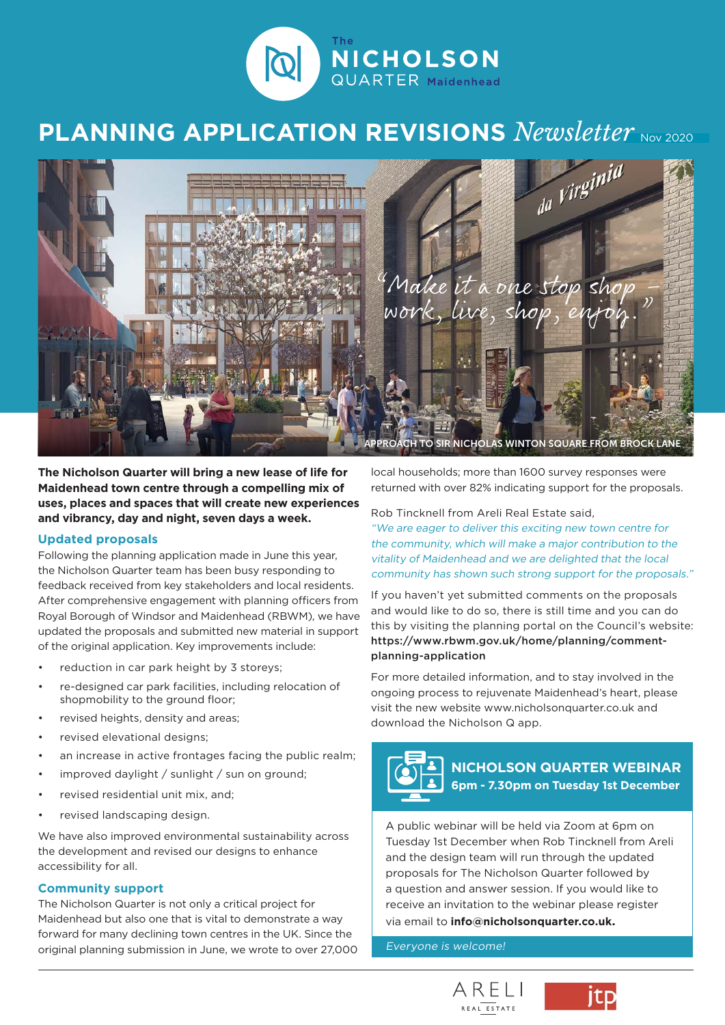

## **PLANNING APPLICATION REVISIONS** *Newsletter* Nov 2020



**The Nicholson Quarter will bring a new lease of life for Maidenhead town centre through a compelling mix of uses, places and spaces that will create new experiences and vibrancy, day and night, seven days a week.**

#### **Updated proposals**

Following the planning application made in June this year, the Nicholson Quarter team has been busy responding to feedback received from key stakeholders and local residents. After comprehensive engagement with planning officers from Royal Borough of Windsor and Maidenhead (RBWM), we have updated the proposals and submitted new material in support of the original application. Key improvements include:

- reduction in car park height by 3 storeys;
- re-designed car park facilities, including relocation of shopmobility to the ground floor;
- revised heights, density and areas;
- revised elevational designs;
- an increase in active frontages facing the public realm;
- improved daylight / sunlight / sun on ground;
- revised residential unit mix, and;
- revised landscaping design.

We have also improved environmental sustainability across the development and revised our designs to enhance accessibility for all.

#### **Community support**

The Nicholson Quarter is not only a critical project for Maidenhead but also one that is vital to demonstrate a way forward for many declining town centres in the UK. Since the original planning submission in June, we wrote to over 27,000 local households; more than 1600 survey responses were returned with over 82% indicating support for the proposals.

Rob Tincknell from Areli Real Estate said,

"We are eager to deliver this exciting new town centre for the community, which will make a major contribution to the vitality of Maidenhead and we are delighted that the local community has shown such strong support for the proposals."

If you haven't yet submitted comments on the proposals and would like to do so, there is still time and you can do this by visiting the planning portal on the Council's website: https://www.rbwm.gov.uk/home/planning/commentplanning-application

For more detailed information, and to stay involved in the ongoing process to rejuvenate Maidenhead's heart, please visit the new website www.nicholsonquarter.co.uk and download the Nicholson Q app.



**NICHOLSON QUARTER WEBINAR 6pm - 7.30pm on Tuesday 1st December**

A public webinar will be held via Zoom at 6pm on Tuesday 1st December when Rob Tincknell from Areli and the design team will run through the updated proposals for The Nicholson Quarter followed by a question and answer session. If you would like to receive an invitation to the webinar please register via email to **info@nicholsonquarter.co.uk.**

Everyone is welcome!



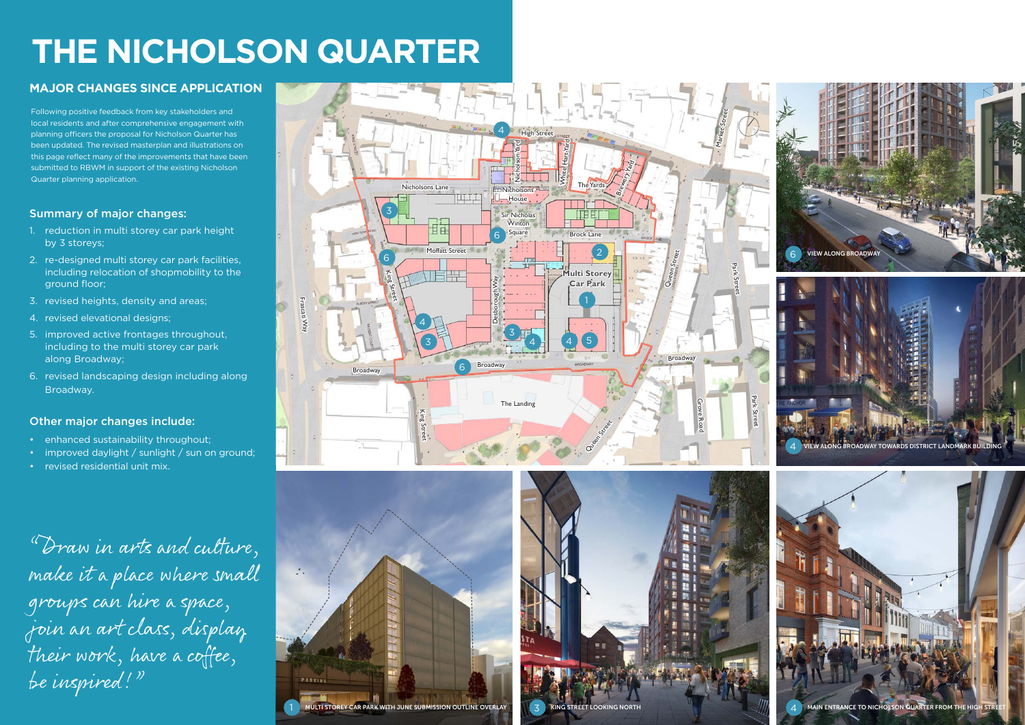## Summary of major changes:

- 1. reduction in multi storey car park height by 3 storeys;
- 2. re-designed multi storey car park facilities, including relocation of shopmobility to the ground floor;
- 3. revised heights, density and areas;
- 4. revised elevational designs;
- 5. improved active frontages throughout, including to the multi storey car park along Broadway;
- 6. revised landscaping design including along Broadway.

- enhanced sustainability throughout;
- improved daylight / sunlight / sun on ground;
- revised residential unit mix.

## Other major changes include:

# **THE NICHOLSON QUARTER**

"Draw in arts and culture, make it a place where small groups can hire a space, join an art class, display their work, have a coffee, be inspired!"







## **MAJOR CHANGES SINCE APPLICATION**



Following positive feedback from key stakeholders and local residents and after comprehensive engagement with planning officers the proposal for Nicholson Quarter has been updated. The revised masterplan and illustrations on this page reflect many of the improvements that have been submitted to RBWM in support of the existing Nicholson Quarter planning application.